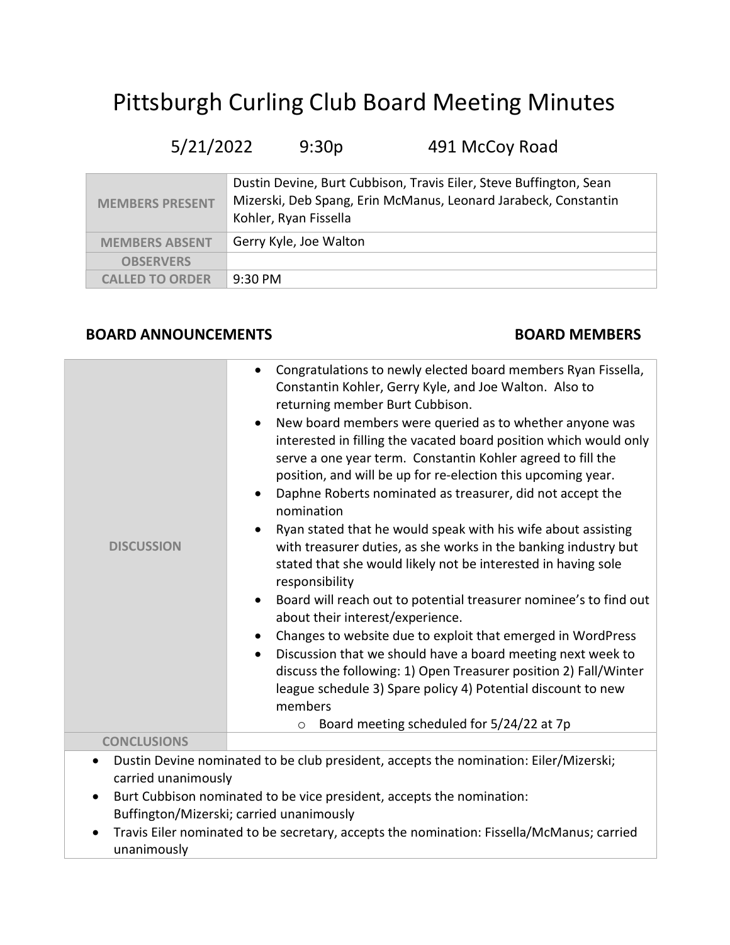## Pittsburgh Curling Club Board Meeting Minutes

## 5/21/2022 9:30p 491 McCoy Road

| <b>MEMBERS PRESENT</b> | Dustin Devine, Burt Cubbison, Travis Eiler, Steve Buffington, Sean<br>Mizerski, Deb Spang, Erin McManus, Leonard Jarabeck, Constantin<br>Kohler, Ryan Fissella |
|------------------------|----------------------------------------------------------------------------------------------------------------------------------------------------------------|
| <b>MEMBERS ABSENT</b>  | Gerry Kyle, Joe Walton                                                                                                                                         |
| <b>OBSERVERS</b>       |                                                                                                                                                                |
| <b>CALLED TO ORDER</b> | $9:30 \text{ PM}$                                                                                                                                              |

## BOARD ANNOUNCEMENTS BOARD MEMBERS

| Congratulations to newly elected board members Ryan Fissella,<br>$\bullet$                                                                                                                                                                                                                                                                                                                                                                                                                                                                                                                                                                                                                                                                                                                                                                                                                                                                                                                                                                                                                                                                                                             |
|----------------------------------------------------------------------------------------------------------------------------------------------------------------------------------------------------------------------------------------------------------------------------------------------------------------------------------------------------------------------------------------------------------------------------------------------------------------------------------------------------------------------------------------------------------------------------------------------------------------------------------------------------------------------------------------------------------------------------------------------------------------------------------------------------------------------------------------------------------------------------------------------------------------------------------------------------------------------------------------------------------------------------------------------------------------------------------------------------------------------------------------------------------------------------------------|
| Constantin Kohler, Gerry Kyle, and Joe Walton. Also to<br>returning member Burt Cubbison.<br>New board members were queried as to whether anyone was<br>$\bullet$<br>interested in filling the vacated board position which would only<br>serve a one year term. Constantin Kohler agreed to fill the<br>position, and will be up for re-election this upcoming year.<br>Daphne Roberts nominated as treasurer, did not accept the<br>$\bullet$<br>nomination<br>Ryan stated that he would speak with his wife about assisting<br>$\bullet$<br>with treasurer duties, as she works in the banking industry but<br>stated that she would likely not be interested in having sole<br>responsibility<br>Board will reach out to potential treasurer nominee's to find out<br>$\bullet$<br>about their interest/experience.<br>Changes to website due to exploit that emerged in WordPress<br>$\bullet$<br>Discussion that we should have a board meeting next week to<br>$\bullet$<br>discuss the following: 1) Open Treasurer position 2) Fall/Winter<br>league schedule 3) Spare policy 4) Potential discount to new<br>members<br>Board meeting scheduled for 5/24/22 at 7p<br>$\circ$ |
|                                                                                                                                                                                                                                                                                                                                                                                                                                                                                                                                                                                                                                                                                                                                                                                                                                                                                                                                                                                                                                                                                                                                                                                        |
| Dustin Devine nominated to be club president, accepts the nomination: Eiler/Mizerski;<br>carried unanimously<br>Burt Cubbison nominated to be vice president, accepts the nomination:<br>Buffington/Mizerski; carried unanimously<br>Travis Eiler nominated to be secretary, accepts the nomination: Fissella/McManus; carried                                                                                                                                                                                                                                                                                                                                                                                                                                                                                                                                                                                                                                                                                                                                                                                                                                                         |
|                                                                                                                                                                                                                                                                                                                                                                                                                                                                                                                                                                                                                                                                                                                                                                                                                                                                                                                                                                                                                                                                                                                                                                                        |